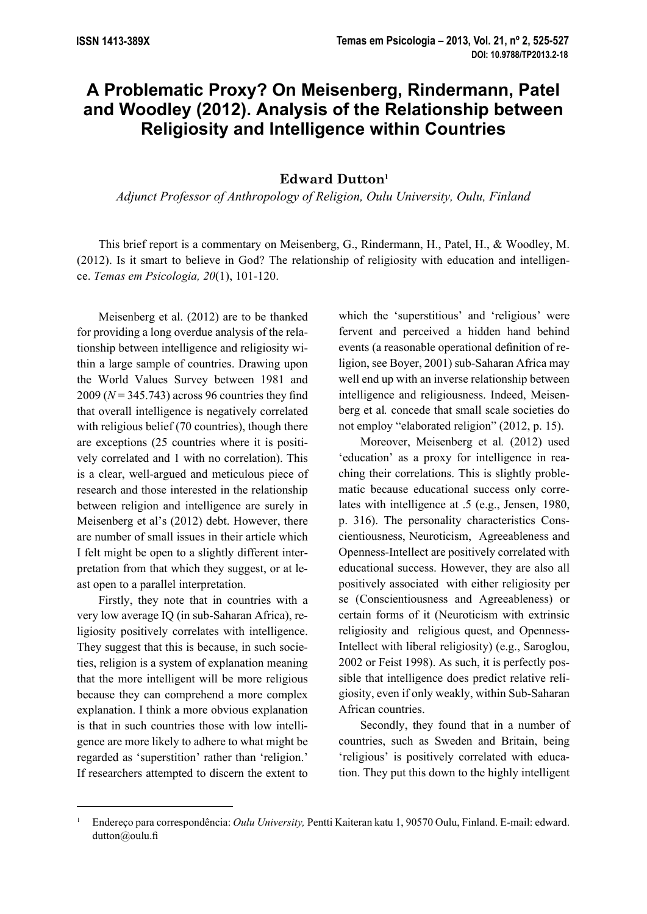## **A Problematic Proxy? On Meisenberg, Rindermann, Patel and Woodley (2012). Analysis of the Relationship between Religiosity and Intelligence within Countries**

## **Edward Dutton<sup>1</sup>**

*Adjunct Professor of Anthropology of Religion, Oulu University, Oulu, Finland*

This brief report is a commentary on Meisenberg, G., Rindermann, H., Patel, H., & Woodley, M. (2012). Is it smart to believe in God? The relationship of religiosity with education and intelligence. *Temas em Psicologia, 20*(1), 101-120.

Meisenberg et al. (2012) are to be thanked for providing a long overdue analysis of the relationship between intelligence and religiosity within a large sample of countries. Drawing upon the World Values Survey between 1981 and  $2009 (N = 345.743)$  across 96 countries they find that overall intelligence is negatively correlated with religious belief (70 countries), though there are exceptions (25 countries where it is positively correlated and 1 with no correlation). This is a clear, well-argued and meticulous piece of research and those interested in the relationship between religion and intelligence are surely in Meisenberg et al's (2012) debt. However, there are number of small issues in their article which I felt might be open to a slightly different interpretation from that which they suggest, or at least open to a parallel interpretation.

Firstly, they note that in countries with a very low average IQ (in sub-Saharan Africa), religiosity positively correlates with intelligence. They suggest that this is because, in such societies, religion is a system of explanation meaning that the more intelligent will be more religious because they can comprehend a more complex explanation. I think a more obvious explanation is that in such countries those with low intelligence are more likely to adhere to what might be regarded as 'superstition' rather than 'religion.' If researchers attempted to discern the extent to which the 'superstitious' and 'religious' were fervent and perceived a hidden hand behind events (a reasonable operational definition of religion, see Boyer, 2001) sub-Saharan Africa may well end up with an inverse relationship between intelligence and religiousness. Indeed, Meisenberg et al*.* concede that small scale societies do not employ "elaborated religion" (2012, p. 15).

Moreover, Meisenberg et al*.* (2012) used 'education' as a proxy for intelligence in reaching their correlations. This is slightly problematic because educational success only correlates with intelligence at .5 (e.g., Jensen, 1980, p. 316). The personality characteristics Conscientiousness, Neuroticism, Agreeableness and Openness-Intellect are positively correlated with educational success. However, they are also all positively associated with either religiosity per se (Conscientiousness and Agreeableness) or certain forms of it (Neuroticism with extrinsic religiosity and religious quest, and Openness-Intellect with liberal religiosity) (e.g., Saroglou, 2002 or Feist 1998). As such, it is perfectly possible that intelligence does predict relative religiosity, even if only weakly, within Sub-Saharan African countries.

Secondly, they found that in a number of countries, such as Sweden and Britain, being 'religious' is positively correlated with education. They put this down to the highly intelligent

<sup>1</sup> Endereço para correspondência: *Oulu University,* Pentti Kaiteran katu 1, 90570 Oulu, Finland. E-mail: edward. dutton@oulu.fi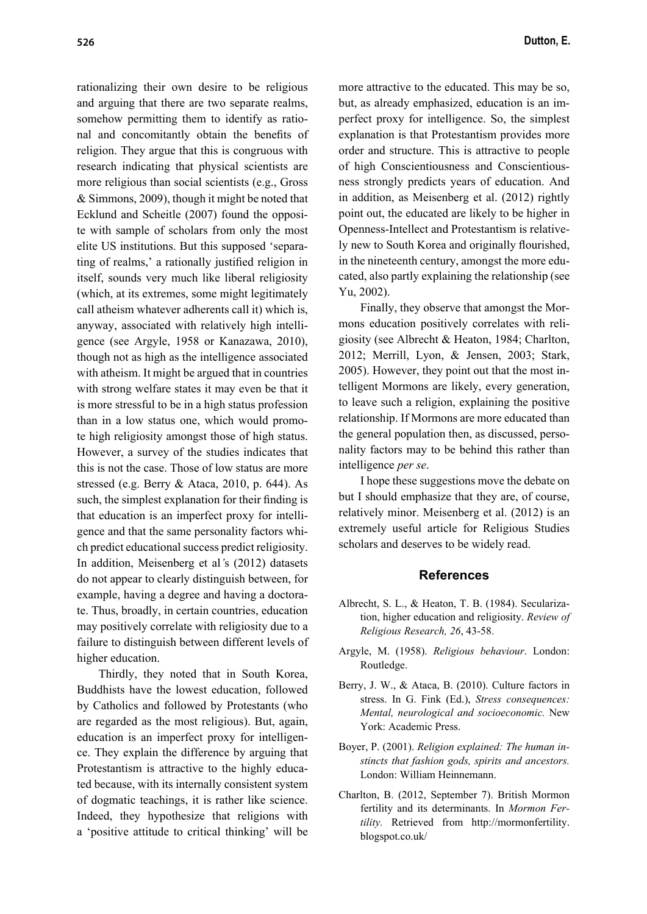rationalizing their own desire to be religious and arguing that there are two separate realms, somehow permitting them to identify as rational and concomitantly obtain the benefits of religion. They argue that this is congruous with research indicating that physical scientists are more religious than social scientists (e.g., Gross & Simmons, 2009), though it might be noted that Ecklund and Scheitle (2007) found the opposite with sample of scholars from only the most elite US institutions. But this supposed 'separating of realms,' a rationally justified religion in itself, sounds very much like liberal religiosity (which, at its extremes, some might legitimately call atheism whatever adherents call it) which is, anyway, associated with relatively high intelligence (see Argyle, 1958 or Kanazawa, 2010), though not as high as the intelligence associated with atheism. It might be argued that in countries with strong welfare states it may even be that it is more stressful to be in a high status profession than in a low status one, which would promote high religiosity amongst those of high status. However, a survey of the studies indicates that this is not the case. Those of low status are more stressed (e.g. Berry & Ataca, 2010, p. 644). As such, the simplest explanation for their finding is that education is an imperfect proxy for intelligence and that the same personality factors which predict educational success predict religiosity. In addition, Meisenberg et al*'*s (2012) datasets do not appear to clearly distinguish between, for example, having a degree and having a doctorate. Thus, broadly, in certain countries, education may positively correlate with religiosity due to a failure to distinguish between different levels of higher education.

Thirdly, they noted that in South Korea, Buddhists have the lowest education, followed by Catholics and followed by Protestants (who are regarded as the most religious). But, again, education is an imperfect proxy for intelligence. They explain the difference by arguing that Protestantism is attractive to the highly educated because, with its internally consistent system of dogmatic teachings, it is rather like science. Indeed, they hypothesize that religions with a 'positive attitude to critical thinking' will be

more attractive to the educated. This may be so, but, as already emphasized, education is an imperfect proxy for intelligence. So, the simplest explanation is that Protestantism provides more order and structure. This is attractive to people of high Conscientiousness and Conscientiousness strongly predicts years of education. And in addition, as Meisenberg et al. (2012) rightly point out, the educated are likely to be higher in Openness-Intellect and Protestantism is relatively new to South Korea and originally flourished, in the nineteenth century, amongst the more educated, also partly explaining the relationship (see Yu, 2002).

Finally, they observe that amongst the Mormons education positively correlates with religiosity (see Albrecht & Heaton, 1984; Charlton, 2012; Merrill, Lyon, & Jensen, 2003; Stark, 2005). However, they point out that the most intelligent Mormons are likely, every generation, to leave such a religion, explaining the positive relationship. If Mormons are more educated than the general population then, as discussed, personality factors may to be behind this rather than intelligence *per se*.

I hope these suggestions move the debate on but I should emphasize that they are, of course, relatively minor. Meisenberg et al. (2012) is an extremely useful article for Religious Studies scholars and deserves to be widely read.

## **References**

- Albrecht, S. L., & Heaton, T. B. (1984). Secularization, higher education and religiosity. *Review of Religious Research, 26*, 43-58.
- Argyle, M. (1958). *Religious behaviour*. London: Routledge.
- Berry, J. W., & Ataca, B. (2010). Culture factors in stress. In G. Fink (Ed.), *Stress consequences: Mental, neurological and socioeconomic.* New York: Academic Press.
- Boyer, P. (2001). *Religion explained: The human instincts that fashion gods, spirits and ancestors.*  London: William Heinnemann.
- Charlton, B. (2012, September 7). British Mormon fertility and its determinants. In *Mormon Fertility.* Retrieved from http://mormonfertility. blogspot.co.uk/